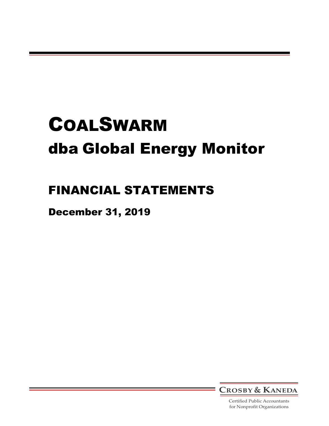# FINANCIAL STATEMENTS

December 31, 2019



Certified Public Accountants for Nonprofit Organizations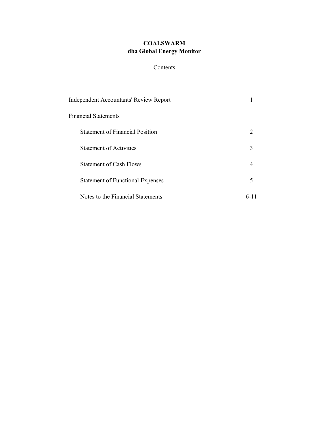# Contents

| <b>Independent Accountants' Review Report</b> |      |
|-----------------------------------------------|------|
| Financial Statements                          |      |
| <b>Statement of Financial Position</b>        |      |
| <b>Statement of Activities</b>                | 3    |
| <b>Statement of Cash Flows</b>                |      |
| <b>Statement of Functional Expenses</b>       | 5    |
| Notes to the Financial Statements             | 6-11 |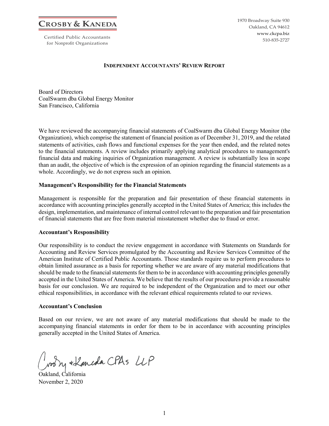**CROSBY & KANEDA**

Certified Public Accountants for Nonprofit Organizations

1970 Broadway Suite 930 Oakland, CA 94612 www.ckcpa.biz 510-835-2727

#### **INDEPENDENT ACCOUNTANTS' REVIEW REPORT**

Board of Directors CoalSwarm dba Global Energy Monitor San Francisco, California

We have reviewed the accompanying financial statements of CoalSwarm dba Global Energy Monitor (the Organization), which comprise the statement of financial position as of December 31, 2019, and the related statements of activities, cash flows and functional expenses for the year then ended, and the related notes to the financial statements. A review includes primarily applying analytical procedures to management's financial data and making inquiries of Organization management. A review is substantially less in scope than an audit, the objective of which is the expression of an opinion regarding the financial statements as a whole. Accordingly, we do not express such an opinion.

#### **Management's Responsibility for the Financial Statements**

Management is responsible for the preparation and fair presentation of these financial statements in accordance with accounting principles generally accepted in the United States of America; this includes the design, implementation, and maintenance of internal control relevant to the preparation and fair presentation of financial statements that are free from material misstatement whether due to fraud or error.

#### **Accountant's Responsibility**

Our responsibility is to conduct the review engagement in accordance with Statements on Standards for Accounting and Review Services promulgated by the Accounting and Review Services Committee of the American Institute of Certified Public Accountants. Those standards require us to perform procedures to obtain limited assurance as a basis for reporting whether we are aware of any material modifications that should be made to the financial statements for them to be in accordance with accounting principles generally accepted in the United States of America. We believe that the results of our procedures provide a reasonable basis for our conclusion. We are required to be independent of the Organization and to meet our other ethical responsibilities, in accordance with the relevant ethical requirements related to our reviews.

#### **Accountant's Conclusion**

Based on our review, we are not aware of any material modifications that should be made to the accompanying financial statements in order for them to be in accordance with accounting principles generally accepted in the United States of America.

My + Laneda CPAS LLP

Oakland, California November 2, 2020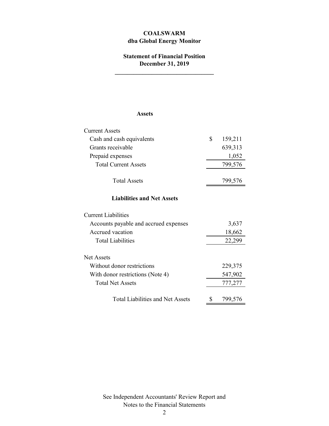# **dba Global Energy Monitor COALSWARM**

### **Statement of Financial Position December 31, 2019**

**\_\_\_\_\_\_\_\_\_\_\_\_\_\_\_\_\_\_\_\_\_\_\_\_\_\_\_\_\_\_\_\_**

#### **Assets**

| <b>Current Assets</b>       |              |
|-----------------------------|--------------|
| Cash and cash equivalents   | 159,211<br>S |
| Grants receivable           | 639,313      |
| Prepaid expenses            | 1,052        |
| <b>Total Current Assets</b> | 799,576      |
| <b>Total Assets</b>         | 799,576      |

#### **Liabilities and Net Assets**

| <b>Current Liabilities</b>            |         |
|---------------------------------------|---------|
| Accounts payable and accrued expenses | 3,637   |
| Accrued vacation                      | 18,662  |
| <b>Total Liabilities</b>              | 22,299  |
| Net Assets                            |         |
| Without donor restrictions            | 229,375 |
| With donor restrictions (Note 4)      | 547,902 |
| <b>Total Net Assets</b>               | 777,277 |
| Total Liabilities and Net Assets      | 799,576 |

See Independent Accountants' Review Report and Notes to the Financial Statements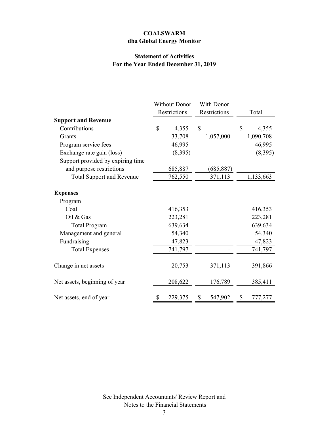# **Statement of Activities For the Year Ended December 31, 2019**

**\_\_\_\_\_\_\_\_\_\_\_\_\_\_\_\_\_\_\_\_\_\_\_\_\_\_\_\_\_\_\_\_**

|                                   | <b>Without Donor</b> |         | With Donor   |            |       |           |
|-----------------------------------|----------------------|---------|--------------|------------|-------|-----------|
|                                   | Restrictions         |         | Restrictions |            | Total |           |
| <b>Support and Revenue</b>        |                      |         |              |            |       |           |
| Contributions                     | \$                   | 4,355   | \$           |            | \$    | 4,355     |
| Grants                            |                      | 33,708  |              | 1,057,000  |       | 1,090,708 |
| Program service fees              |                      | 46,995  |              |            |       | 46,995    |
| Exchange rate gain (loss)         |                      | (8,395) |              |            |       | (8,395)   |
| Support provided by expiring time |                      |         |              |            |       |           |
| and purpose restrictions          |                      | 685,887 |              | (685, 887) |       |           |
| <b>Total Support and Revenue</b>  |                      | 762,550 |              | 371,113    |       | 1,133,663 |
| <b>Expenses</b><br>Program        |                      |         |              |            |       |           |
| Coal                              |                      | 416,353 |              |            |       | 416,353   |
| Oil $&$ Gas                       |                      | 223,281 |              |            |       | 223,281   |
| <b>Total Program</b>              |                      | 639,634 |              |            |       | 639,634   |
| Management and general            |                      | 54,340  |              |            |       | 54,340    |
| Fundraising                       |                      | 47,823  |              |            |       | 47,823    |
| <b>Total Expenses</b>             |                      | 741,797 |              |            |       | 741,797   |
| Change in net assets              |                      | 20,753  |              | 371,113    |       | 391,866   |
| Net assets, beginning of year     |                      | 208,622 |              | 176,789    |       | 385,411   |
| Net assets, end of year           | \$                   | 229,375 |              | 547,902    | S     | 777,277   |

See Independent Accountants' Review Report and Notes to the Financial Statements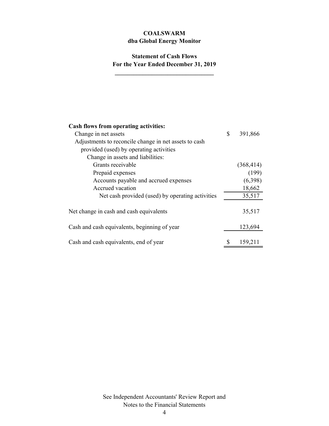# **Statement of Cash Flows For the Year Ended December 31, 2019**

**\_\_\_\_\_\_\_\_\_\_\_\_\_\_\_\_\_\_\_\_\_\_\_\_\_\_\_\_\_\_\_\_**

| <b>Cash flows from operating activities:</b>          |               |
|-------------------------------------------------------|---------------|
| Change in net assets                                  | \$<br>391,866 |
| Adjustments to reconcile change in net assets to cash |               |
| provided (used) by operating activities               |               |
| Change in assets and liabilities:                     |               |
| Grants receivable                                     | (368, 414)    |
| Prepaid expenses                                      | (199)         |
| Accounts payable and accrued expenses                 | (6,398)       |
| Accrued vacation                                      | 18,662        |
| Net cash provided (used) by operating activities      | 35,517        |
| Net change in cash and cash equivalents               | 35,517        |
| Cash and cash equivalents, beginning of year          | 123,694       |
| Cash and cash equivalents, end of year                | 159,211       |

See Independent Accountants' Review Report and Notes to the Financial Statements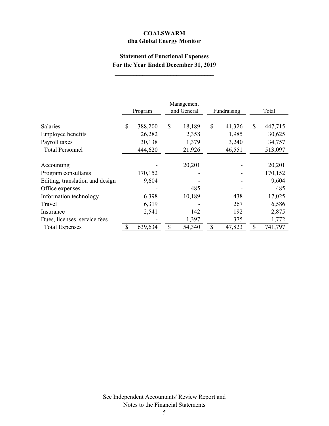# **Statement of Functional Expenses For the Year Ended December 31, 2019**

**\_\_\_\_\_\_\_\_\_\_\_\_\_\_\_\_\_\_\_\_\_\_\_\_\_\_\_\_\_\_\_\_**

|                                 | Program       | Management<br>and General | Fundraising  | Total         |
|---------------------------------|---------------|---------------------------|--------------|---------------|
| <b>Salaries</b>                 | \$<br>388,200 | \$<br>18,189              | \$<br>41,326 | \$<br>447,715 |
| Employee benefits               | 26,282        | 2,358                     | 1,985        | 30,625        |
| Payroll taxes                   | 30,138        | 1,379                     | 3,240        | 34,757        |
| <b>Total Personnel</b>          | 444,620       | 21,926                    | 46,551       | 513,097       |
|                                 |               |                           |              |               |
| Accounting                      |               | 20,201                    |              | 20,201        |
| Program consultants             | 170,152       |                           |              | 170,152       |
| Editing, translation and design | 9,604         |                           |              | 9,604         |
| Office expenses                 |               | 485                       |              | 485           |
| Information technology          | 6,398         | 10,189                    | 438          | 17,025        |
| Travel                          | 6,319         |                           | 267          | 6,586         |
| Insurance                       | 2,541         | 142                       | 192          | 2,875         |
| Dues, licenses, service fees    |               | 1,397                     | 375          | 1,772         |
| <b>Total Expenses</b>           | 639,634       | \$<br>54,340              | \$<br>47,823 | \$<br>741,797 |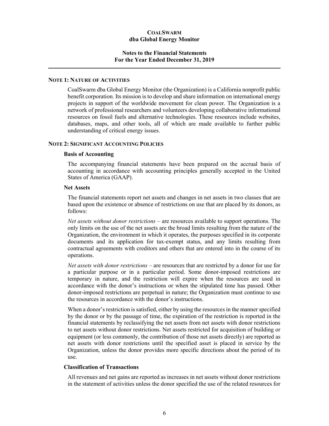#### **Notes to the Financial Statements For the Year Ended December 31, 2019**

#### **NOTE 1: NATURE OF ACTIVITIES**

CoalSwarm dba Global Energy Monitor (the Organization) is a California nonprofit public benefit corporation. Its mission is to develop and share information on international energy projects in support of the worldwide movement for clean power. The Organization is a network of professional researchers and volunteers developing collaborative informational resources on fossil fuels and alternative technologies. These resources include websites, databases, maps, and other tools, all of which are made available to further public understanding of critical energy issues.

#### **NOTE 2: SIGNIFICANT ACCOUNTING POLICIES**

#### **Basis of Accounting**

The accompanying financial statements have been prepared on the accrual basis of accounting in accordance with accounting principles generally accepted in the United States of America (GAAP).

#### **Net Assets**

The financial statements report net assets and changes in net assets in two classes that are based upon the existence or absence of restrictions on use that are placed by its donors, as follows:

*Net assets without donor restrictions* – are resources available to support operations. The only limits on the use of the net assets are the broad limits resulting from the nature of the Organization, the environment in which it operates, the purposes specified in its corporate documents and its application for tax-exempt status, and any limits resulting from contractual agreements with creditors and others that are entered into in the course of its operations.

*Net assets with donor restrictions* – are resources that are restricted by a donor for use for a particular purpose or in a particular period. Some donor-imposed restrictions are temporary in nature, and the restriction will expire when the resources are used in accordance with the donor's instructions or when the stipulated time has passed. Other donor-imposed restrictions are perpetual in nature; the Organization must continue to use the resources in accordance with the donor's instructions.

When a donor's restriction is satisfied, either by using the resources in the manner specified by the donor or by the passage of time, the expiration of the restriction is reported in the financial statements by reclassifying the net assets from net assets with donor restrictions to net assets without donor restrictions. Net assets restricted for acquisition of building or equipment (or less commonly, the contribution of those net assets directly) are reported as net assets with donor restrictions until the specified asset is placed in service by the Organization, unless the donor provides more specific directions about the period of its use.

#### **Classification of Transactions**

All revenues and net gains are reported as increases in net assets without donor restrictions in the statement of activities unless the donor specified the use of the related resources for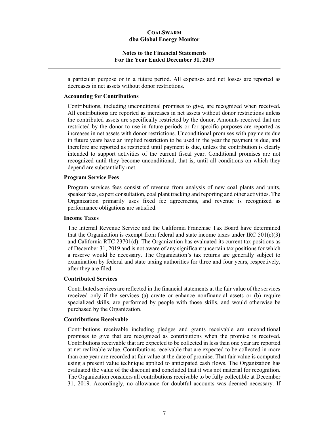#### **Notes to the Financial Statements For the Year Ended December 31, 2019**

a particular purpose or in a future period. All expenses and net losses are reported as decreases in net assets without donor restrictions.

#### **Accounting for Contributions**

Contributions, including unconditional promises to give, are recognized when received. All contributions are reported as increases in net assets without donor restrictions unless the contributed assets are specifically restricted by the donor. Amounts received that are restricted by the donor to use in future periods or for specific purposes are reported as increases in net assets with donor restrictions. Unconditional promises with payments due in future years have an implied restriction to be used in the year the payment is due, and therefore are reported as restricted until payment is due, unless the contribution is clearly intended to support activities of the current fiscal year. Conditional promises are not recognized until they become unconditional, that is, until all conditions on which they depend are substantially met.

#### **Program Service Fees**

Program services fees consist of revenue from analysis of new coal plants and units, speaker fees, expert consultation, coal plant tracking and reporting and other activities. The Organization primarily uses fixed fee agreements, and revenue is recognized as performance obligations are satisfied.

#### **Income Taxes**

The Internal Revenue Service and the California Franchise Tax Board have determined that the Organization is exempt from federal and state income taxes under IRC  $501(c)(3)$ and California RTC 23701(d). The Organization has evaluated its current tax positions as of December 31, 2019 and is not aware of any significant uncertain tax positions for which a reserve would be necessary. The Organization's tax returns are generally subject to examination by federal and state taxing authorities for three and four years, respectively, after they are filed.

#### **Contributed Services**

Contributed services are reflected in the financial statements at the fair value of the services received only if the services (a) create or enhance nonfinancial assets or (b) require specialized skills, are performed by people with those skills, and would otherwise be purchased by the Organization.

#### **Contributions Receivable**

Contributions receivable including pledges and grants receivable are unconditional promises to give that are recognized as contributions when the promise is received. Contributions receivable that are expected to be collected in less than one year are reported at net realizable value. Contributions receivable that are expected to be collected in more than one year are recorded at fair value at the date of promise. That fair value is computed using a present value technique applied to anticipated cash flows. The Organization has evaluated the value of the discount and concluded that it was not material for recognition. The Organization considers all contributions receivable to be fully collectible at December 31, 2019. Accordingly, no allowance for doubtful accounts was deemed necessary. If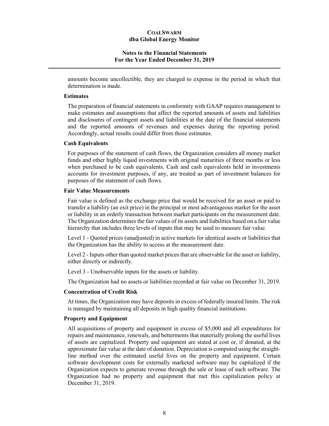#### **Notes to the Financial Statements For the Year Ended December 31, 2019**

amounts become uncollectible, they are charged to expense in the period in which that determination is made.

#### **Estimates**

The preparation of financial statements in conformity with GAAP requires management to make estimates and assumptions that affect the reported amounts of assets and liabilities and disclosures of contingent assets and liabilities at the date of the financial statements and the reported amounts of revenues and expenses during the reporting period. Accordingly, actual results could differ from those estimates.

#### **Cash Equivalents**

For purposes of the statement of cash flows, the Organization considers all money market funds and other highly liquid investments with original maturities of three months or less when purchased to be cash equivalents. Cash and cash equivalents held in investments accounts for investment purposes, if any, are treated as part of investment balances for purposes of the statement of cash flows.

#### **Fair Value Measurements**

Fair value is defined as the exchange price that would be received for an asset or paid to transfer a liability (an exit price) in the principal or most advantageous market for the asset or liability in an orderly transaction between market participants on the measurement date. The Organization determines the fair values of its assets and liabilities based on a fair value hierarchy that includes three levels of inputs that may be used to measure fair value.

Level 1 - Quoted prices (unadjusted) in active markets for identical assets or liabilities that the Organization has the ability to access at the measurement date.

Level 2 - Inputs other than quoted market prices that are observable for the asset or liability, either directly or indirectly.

Level 3 - Unobservable inputs for the assets or liability.

The Organization had no assets or liabilities recorded at fair value on December 31, 2019.

#### **Concentration of Credit Risk**

At times, the Organization may have deposits in excess of federally insured limits. The risk is managed by maintaining all deposits in high quality financial institutions.

#### **Property and Equipment**

All acquisitions of property and equipment in excess of \$5,000 and all expenditures for repairs and maintenance, renewals, and betterments that materially prolong the useful lives of assets are capitalized. Property and equipment are stated at cost or, if donated, at the approximate fair value at the date of donation. Depreciation is computed using the straightline method over the estimated useful lives on the property and equipment. Certain software development costs for externally marketed software may be capitalized if the Organization expects to generate revenue through the sale or lease of such software. The Organization had no property and equipment that met this capitalization policy at December 31, 2019.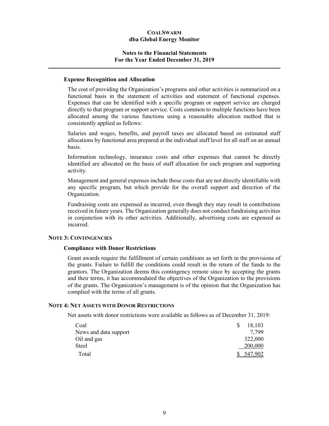#### **Notes to the Financial Statements For the Year Ended December 31, 2019**

#### **Expense Recognition and Allocation**

The cost of providing the Organization's programs and other activities is summarized on a functional basis in the statement of activities and statement of functional expenses. Expenses that can be identified with a specific program or support service are charged directly to that program or support service. Costs common to multiple functions have been allocated among the various functions using a reasonable allocation method that is consistently applied as follows:

Salaries and wages, benefits, and payroll taxes are allocated based on estimated staff allocations by functional area prepared at the individual staff level for all staff on an annual basis.

Information technology, insurance costs and other expenses that cannot be directly identified are allocated on the basis of staff allocation for each program and supporting activity.

Management and general expenses include those costs that are not directly identifiable with any specific program, but which provide for the overall support and direction of the Organization.

Fundraising costs are expensed as incurred, even though they may result in contributions received in future years. The Organization generally does not conduct fundraising activities in conjunction with its other activities. Additionally, advertising costs are expensed as incurred.

#### **NOTE 3: CONTINGENCIES**

#### **Compliance with Donor Restrictions**

Grant awards require the fulfillment of certain conditions as set forth in the provisions of the grants. Failure to fulfill the conditions could result in the return of the funds to the grantors. The Organization deems this contingency remote since by accepting the grants and their terms, it has accommodated the objectives of the Organization to the provisions of the grants. The Organization's management is of the opinion that the Organization has complied with the terms of all grants.

#### **NOTE 4: NET ASSETS WITH DONOR RESTRICTIONS**

Net assets with donor restrictions were available as follows as of December 31, 2019:

| Coal                  | S | 18,103  |
|-----------------------|---|---------|
| News and data support |   | 7.799   |
| Oil and gas           |   | 322,000 |
| Steel                 |   | 200,000 |
| Total                 |   | 547.902 |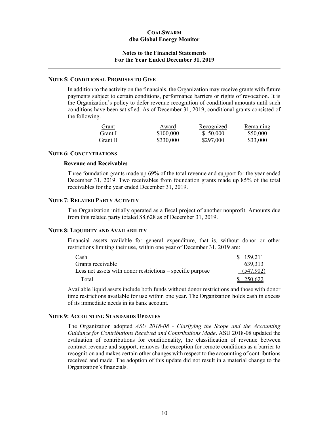#### **Notes to the Financial Statements For the Year Ended December 31, 2019**

#### **NOTE 5: CONDITIONAL PROMISES TO GIVE**

In addition to the activity on the financials, the Organization may receive grants with future payments subject to certain conditions, performance barriers or rights of revocation. It is the Organization's policy to defer revenue recognition of conditional amounts until such conditions have been satisfied. As of December 31, 2019, conditional grants consisted of the following.

| Grant    | Award     | Recognized | Remaining |
|----------|-----------|------------|-----------|
| Grant I  | \$100,000 | \$50,000   | \$50,000  |
| Grant II | \$330,000 | \$297,000  | \$33,000  |

#### **NOTE 6: CONCENTRATIONS**

#### **Revenue and Receivables**

Three foundation grants made up 69% of the total revenue and support for the year ended December 31, 2019. Two receivables from foundation grants made up 85% of the total receivables for the year ended December 31, 2019.

#### **NOTE 7: RELATED PARTY ACTIVITY**

The Organization initially operated as a fiscal project of another nonprofit. Amounts due from this related party totaled \$8,628 as of December 31, 2019.

#### **NOTE 8: LIQUIDITY AND AVAILABILITY**

Financial assets available for general expenditure, that is, without donor or other restrictions limiting their use, within one year of December 31, 2019 are:

| Cash                                                       | \$159,211  |
|------------------------------------------------------------|------------|
| Grants receivable                                          | 639, 313   |
| Less net assets with donor restrictions – specific purpose | (547,902)  |
| Total                                                      | \$ 250,622 |

Available liquid assets include both funds without donor restrictions and those with donor time restrictions available for use within one year. The Organization holds cash in excess of its immediate needs in its bank account.

#### **NOTE 9: ACCOUNTING STANDARDS UPDATES**

The Organization adopted *ASU 2018-08 - Clarifying the Scope and the Accounting Guidance for Contributions Received and Contributions Made*. ASU 2018-08 updated the evaluation of contributions for conditionality, the classification of revenue between contract revenue and support, removes the exception for remote conditions as a barrier to recognition and makes certain other changes with respect to the accounting of contributions received and made. The adoption of this update did not result in a material change to the Organization's financials.